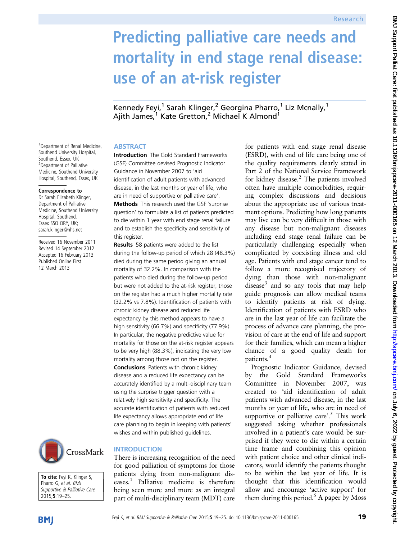# Predicting palliative care needs and mortality in end stage renal disease: use of an at-risk register

Kennedy Feyi,<sup>1</sup> Sarah Klinger,<sup>2</sup> Georgina Pharro,<sup>1</sup> Liz Mcnally,<sup>1</sup> Aiith James.<sup>1</sup> Kate Gretton.<sup>2</sup> Michael K Almond<sup>1</sup>

<sup>1</sup> Department of Renal Medicine, Southend University Hospital, Southend, Essex, UK <sup>2</sup> Department of Palliative Medicine, Southend University Hospital, Southend, Essex, UK

#### Correspondence to

Dr Sarah Elizabeth Klinger, Department of Palliative Medicine, Southend University Hospital, Southend, Essex SSO ORY, UK; sarah.klinger@nhs.net

Received 16 November 2011 Revised 14 September 2012 Accepted 16 February 2013 Published Online First 12 March 2013



To cite: Feyi K, Klinger S, Pharro G, et al. BMJ Supportive & Palliative Care 2015;5:19–25.

#### **ABSTRACT**

**Introduction** The Gold Standard Frameworks (GSF) Committee devised Prognostic Indicator Guidance in November 2007 to 'aid identification of adult patients with advanced disease, in the last months or year of life, who are in need of supportive or palliative care'. **Methods** This research used the GSF `surprise question' to formulate a list of patients predicted to die within 1 year with end stage renal failure and to establish the specificity and sensitivity of this register.

**Results** 58 patients were added to the list during the follow-up period of which 28 (48.3%) died during the same period giving an annual mortality of 32.2%. In comparison with the patients who died during the follow-up period but were not added to the at-risk register, those on the register had a much higher mortality rate (32.2% vs 7.8%). Identification of patients with chronic kidney disease and reduced life expectancy by this method appears to have a high sensitivity (66.7%) and specificity (77.9%). In particular, the negative predictive value for mortality for those on the at-risk register appears to be very high (88.3%), indicating the very low mortality among those not on the register. **Conclusions** Patients with chronic kidney disease and a reduced life expectancy can be accurately identified by a multi-disciplinary team using the surprise trigger question with a relatively high sensitivity and specificity. The accurate identification of patients with reduced life expectancy allows appropriate end of life care planning to begin in keeping with patients' wishes and within published guidelines.

## **INTRODUCTION**

There is increasing recognition of the need for good palliation of symptoms for those patients dying from non-malignant diseases.1 Palliative medicine is therefore being seen more and more as an integral part of multi-disciplinary team (MDT) care

for patients with end stage renal disease (ESRD), with end of life care being one of the quality requirements clearly stated in Part 2 of the National Service Framework for kidney disease.2 The patients involved often have multiple comorbidities, requiring complex discussions and decisions about the appropriate use of various treatment options. Predicting how long patients may live can be very difficult in those with any disease but non-malignant diseases including end stage renal failure can be particularly challenging especially when complicated by coexisting illness and old age. Patients with end stage cancer tend to follow a more recognised trajectory of dying than those with non-malignant disease<sup>3</sup> and so any tools that may help guide prognosis can allow medical teams to identify patients at risk of dying. Identification of patients with ESRD who are in the last year of life can facilitate the process of advance care planning, the provision of care at the end of life and support for their families, which can mean a higher chance of a good quality death for patients.4

Prognostic Indicator Guidance, devised by the Gold Standard Frameworks Committee in November 2007, was created to 'aid identification of adult patients with advanced disease, in the last months or year of life, who are in need of supportive or palliative care'.<sup>5</sup> This work suggested asking whether professionals involved in a patient's care would be surprised if they were to die within a certain time frame and combining this opinion with patient choice and other clinical indicators, would identify the patients thought to be within the last year of life. It is thought that this identification would allow and encourage 'active support' for them during this period.<sup>5</sup> A paper by Moss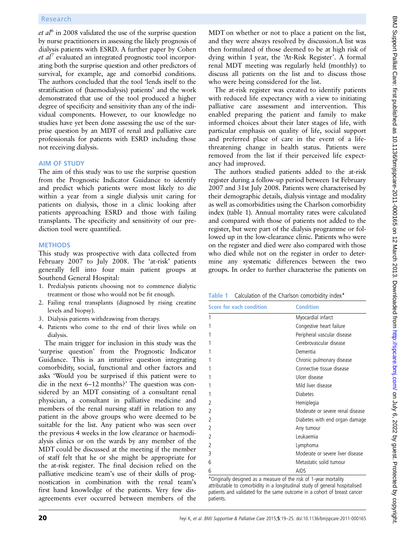*et al*<sup>6</sup> in 2008 validated the use of the surprise question by nurse practitioners in assessing the likely prognosis of dialysis patients with ESRD. A further paper by Cohen  $et \text{ }al^7$  evaluated an integrated prognostic tool incorporating both the surprise question and other predictors of survival, for example, age and comorbid conditions. The authors concluded that the tool 'lends itself to the stratification of (haemodialysis) patients' and the work demonstrated that use of the tool produced a higher degree of specificity and sensitivity than any of the individual components. However, to our knowledge no studies have yet been done assessing the use of the surprise question by an MDT of renal and palliative care professionals for patients with ESRD including those not receiving dialysis.

#### AIM OF STUDY

The aim of this study was to use the surprise question from the Prognostic Indicator Guidance to identify and predict which patients were most likely to die within a year from a single dialysis unit caring for patients on dialysis, those in a clinic looking after patients approaching ESRD and those with failing transplants. The specificity and sensitivity of our prediction tool were quantified.

#### **METHODS**

This study was prospective with data collected from February 2007 to July 2008. The 'at-risk' patients generally fell into four main patient groups at Southend General Hospital:

- 1. Predialysis patients choosing not to commence dialytic treatment or those who would not be fit enough.
- 2. Failing renal transplants (diagnosed by rising creatine levels and biopsy).
- 3. Dialysis patients withdrawing from therapy.
- 4. Patients who come to the end of their lives while on dialysis.

The main trigger for inclusion in this study was the 'surprise question' from the Prognostic Indicator Guidance. This is an intuitive question integrating comorbidity, social, functional and other factors and asks 'Would you be surprised if this patient were to die in the next 6–12 months?' The question was considered by an MDT consisting of a consultant renal physician, a consultant in palliative medicine and members of the renal nursing staff in relation to any patient in the above groups who were deemed to be suitable for the list. Any patient who was seen over the previous 4 weeks in the low clearance or haemodialysis clinics or on the wards by any member of the MDT could be discussed at the meeting if the member of staff felt that he or she might be appropriate for the at-risk register. The final decision relied on the palliative medicine team's use of their skills of prognostication in combination with the renal team's first hand knowledge of the patients. Very few disagreements ever occurred between members of the

MDT on whether or not to place a patient on the list, and they were always resolved by discussion.A list was then formulated of those deemed to be at high risk of dying within 1 year, the 'At-Risk Register'. A formal renal MDT meeting was regularly held (monthly) to discuss all patients on the list and to discuss those who were being considered for the list.

The at-risk register was created to identify patients with reduced life expectancy with a view to initiating palliative care assessment and intervention. This enabled preparing the patient and family to make informed choices about their later stages of life, with particular emphasis on quality of life, social support and preferred place of care in the event of a lifethreatening change in health status. Patients were removed from the list if their perceived life expectancy had improved.

The authors studied patients added to the at-risk register during a follow-up period between 1st February 2007 and 31st July 2008. Patients were characterised by their demographic details, dialysis vintage and modality as well as comorbidities using the Charlson comorbidity index (table 1). Annual mortality rates were calculated and compared with those of patients not added to the register, but were part of the dialysis programme or followed up in the low-clearance clinic. Patients who were on the register and died were also compared with those who died while not on the register in order to determine any systematic differences between the two groups. In order to further characterise the patients on

| Table 1 |  |  | Calculation of the Charlson comorbidity index* |  |
|---------|--|--|------------------------------------------------|--|
|---------|--|--|------------------------------------------------|--|

| Score for each condition | <b>Condition</b>                 |  |
|--------------------------|----------------------------------|--|
| 1                        | Myocardial infarct               |  |
|                          | Congestive heart failure         |  |
|                          | Peripheral vascular disease      |  |
|                          | Cerebrovascular disease          |  |
|                          | Dementia                         |  |
|                          | Chronic pulmonary disease        |  |
|                          | Connective tissue disease        |  |
|                          | Ulcer disease                    |  |
|                          | Mild liver disease               |  |
|                          | <b>Diabetes</b>                  |  |
| 2                        | Hemiplegia                       |  |
| 2                        | Moderate or severe renal disease |  |
| 2                        | Diabetes with end organ damage   |  |
| 2                        | Any tumour                       |  |
| 2                        | Leukaemia                        |  |
| 2                        | Lymphoma                         |  |
| 3                        | Moderate or severe liver disease |  |
| 6                        | Metastatic solid tumour          |  |
| 6                        | <b>AIDS</b>                      |  |
|                          |                                  |  |

\*Originally designed as a measure of the risk of 1-year mortality attributable to comorbidity in a longitudinal study of general hospitalised patients and validated for the same outcome in a cohort of breast cancer patients.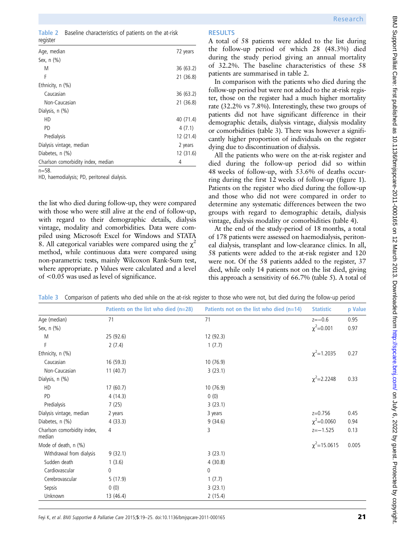Research

|          | Table 2 Baseline characteristics of patients on the at-risk |
|----------|-------------------------------------------------------------|
| register |                                                             |

| Age, median                        | 72 years  |
|------------------------------------|-----------|
| Sex, $n$ $(\%)$                    |           |
| M                                  | 36 (63.2) |
| F                                  | 21 (36.8) |
| Ethnicity, n (%)                   |           |
| Caucasian                          | 36(63.2)  |
| Non-Caucasian                      | 21 (36.8) |
| Dialysis, n (%)                    |           |
| HD                                 | 40 (71.4) |
| PD                                 | 4(7.1)    |
| Predialysis                        | 12 (21.4) |
| Dialysis vintage, median           | 2 years   |
| Diabetes, n (%)                    | 12 (31.6) |
| Charlson comorbidity index, median | 4         |
| $n = 58$                           |           |

HD, haemodialysis; PD, peritoneal dialysis.

the list who died during follow-up, they were compared with those who were still alive at the end of follow-up, with regard to their demographic details, dialysis vintage, modality and comorbidities. Data were compiled using Microsoft Excel for Windows and STATA 8. All categorical variables were compared using the  $\chi^2$ method, while continuous data were compared using non-parametric tests, mainly Wilcoxon Rank-Sum test, where appropriate. p Values were calculated and a level of <0.05 was used as level of significance.

# RESULTS

A total of 58 patients were added to the list during the follow-up period of which 28 (48.3%) died during the study period giving an annual mortality of 32.2%. The baseline characteristics of these 58 patients are summarised in table 2.

In comparison with the patients who died during the follow-up period but were not added to the at-risk register, those on the register had a much higher mortality rate (32.2% vs 7.8%). Interestingly, these two groups of patients did not have significant difference in their demographic details, dialysis vintage, dialysis modality or comorbidities (table 3). There was however a significantly higher proportion of individuals on the register dying due to discontinuation of dialysis.

All the patients who were on the at-risk register and died during the follow-up period did so within 48 weeks of follow-up, with 53.6% of deaths occurring during the first 12 weeks of follow-up (figure 1). Patients on the register who died during the follow-up and those who did not were compared in order to determine any systematic differences between the two groups with regard to demographic details, dialysis vintage, dialysis modality or comorbidities (table 4).

At the end of the study-period of 18 months, a total of 178 patients were assessed on haemodialysis, peritoneal dialysis, transplant and low-clearance clinics. In all, 58 patients were added to the at-risk register and 120 were not. Of the 58 patients added to the register, 37 died, while only 14 patients not on the list died, giving this approach a sensitivity of 66.7% (table 5). A total of

|                                       | Patients on the list who died (n=28) | Patients not on the list who died (n=14) | <b>Statistic</b>  | p Value |
|---------------------------------------|--------------------------------------|------------------------------------------|-------------------|---------|
| Age (median)                          | 71                                   | 71                                       | $z = -0.6$        | 0.95    |
| Sex, n (%)                            |                                      |                                          | $\chi^2$ =0.001   | 0.97    |
| M                                     | 25 (92.6)                            | 12 (92.3)                                |                   |         |
| F                                     | 2(7.4)                               | 1(7.7)                                   |                   |         |
| Ethnicity, n (%)                      |                                      |                                          | $\chi^2$ =1.2035  | 0.27    |
| Caucasian                             | 16 (59.3)                            | 10 (76.9)                                |                   |         |
| Non-Caucasian                         | 11(40.7)                             | 3(23.1)                                  |                   |         |
| Dialysis, n (%)                       |                                      |                                          | $\chi^2$ =2.2248  | 0.33    |
| HD                                    | 17(60.7)                             | 10 (76.9)                                |                   |         |
| <b>PD</b>                             | 4 (14.3)                             | 0(0)                                     |                   |         |
| Predialysis                           | 7(25)                                | 3(23.1)                                  |                   |         |
| Dialysis vintage, median              | 2 years                              | 3 years                                  | $z=0.756$         | 0.45    |
| Diabetes, n (%)                       | 4(33.3)                              | 9(34.6)                                  | $\chi^2$ =0.0060  | 0.94    |
| Charlson comorbidity index,<br>median | 4                                    | 3                                        | $z=-1.525$        | 0.13    |
| Mode of death, n (%)                  |                                      |                                          | $\chi^2$ =15.0615 | 0.005   |
| Withdrawal from dialysis              | 9(32.1)                              | 3(23.1)                                  |                   |         |
| Sudden death                          | 1(3.6)                               | 4(30.8)                                  |                   |         |
| Cardiovascular                        | 0                                    | $\overline{0}$                           |                   |         |
| Cerebrovascular                       | 5(17.9)                              | 1(7.7)                                   |                   |         |
| Sepsis                                | 0(0)                                 | 3(23.1)                                  |                   |         |
| Unknown                               | 13 (46.4)                            | 2(15.4)                                  |                   |         |

Table 3 Comparison of patients who died while on the at-risk register to those who were not, but died during the follow-up period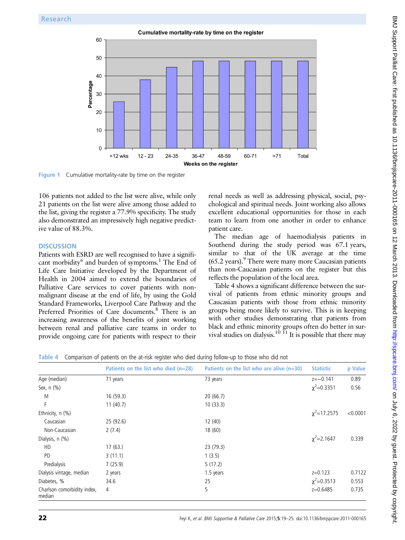

Figure 1 Cumulative mortality-rate by time on the register

106 patients not added to the list were alive, while only 21 patients on the list were alive among those added to the list, giving the register a 77.9% specificity. The study also demonstrated an impressively high negative predictive value of 88.3%.

#### **DISCUSSION**

Patients with ESRD are well recognised to have a significant morbidity $^6$  and burden of symptoms.<sup>1</sup> The End of Life Care Initiative developed by the Department of Health in 2004 aimed to extend the boundaries of Palliative Care services to cover patients with nonmalignant disease at the end of life, by using the Gold Standard Frameworks, Liverpool Care Pathway and the Preferred Priorities of Care documents.<sup>8</sup> There is an increasing awareness of the benefits of joint working between renal and palliative care teams in order to provide ongoing care for patients with respect to their

renal needs as well as addressing physical, social, psychological and spiritual needs. Joint working also allows excellent educational opportunities for those in each team to learn from one another in order to enhance patient care.

The median age of haemodialysis patients in Southend during the study period was 67.1 years, similar to that of the UK average at the time  $(65.2 \text{ years})$ . There were many more Caucasian patients than non-Caucasian patients on the register but this reflects the population of the local area.

Table 4 shows a significant difference between the survival of patients from ethnic minority groups and Caucasian patients with those from ethnic minority groups being more likely to survive. This is in keeping with other studies demonstrating that patients from black and ethnic minority groups often do better in survival studies on dialysis.<sup>10 11</sup> It is possible that there may

Table 4 Comparison of patients on the at-risk register who died during follow-up to those who did not

|                                       | ◡<br>Patients on the list who died (n=28) | ◡<br>Patients on the list who are alive $(n=30)$ | <b>Statistic</b>  | p Value  |
|---------------------------------------|-------------------------------------------|--------------------------------------------------|-------------------|----------|
| Age (median)                          | 71 years                                  | 73 years                                         | $z=-0.141$        | 0.89     |
| Sex, $n$ $(\%)$                       |                                           |                                                  | $\chi^2$ =0.3351  | 0.56     |
| M                                     | 16(59.3)                                  | 20(66.7)                                         |                   |          |
| F                                     | 11(40.7)                                  | 10(33.3)                                         |                   |          |
| Ethnicity, n (%)                      |                                           |                                                  | $\chi^2$ =17.2575 | < 0.0001 |
| Caucasian                             | 25 (92.6)                                 | 12 (40)                                          |                   |          |
| Non-Caucasian                         | 2(7.4)                                    | 18 (60)                                          |                   |          |
| Dialysis, n (%)                       |                                           |                                                  | $\chi^2$ = 2.1647 | 0.339    |
| HD                                    | 17(63.)                                   | 23 (79.3)                                        |                   |          |
| PD                                    | 3(11.1)                                   | 1(3.5)                                           |                   |          |
| Predialysis                           | 7(25.9)                                   | 5(17.2)                                          |                   |          |
| Dialysis vintage, median              | 2 years                                   | 1.5 years                                        | $z=0.123$         | 0.7122   |
| Diabetes, %                           | 34.6                                      | 25                                               | $\chi^2$ =0.3513  | 0.553    |
| Charlson comorbidity index,<br>median | 4                                         | 5                                                | $z=0.6485$        | 0.735    |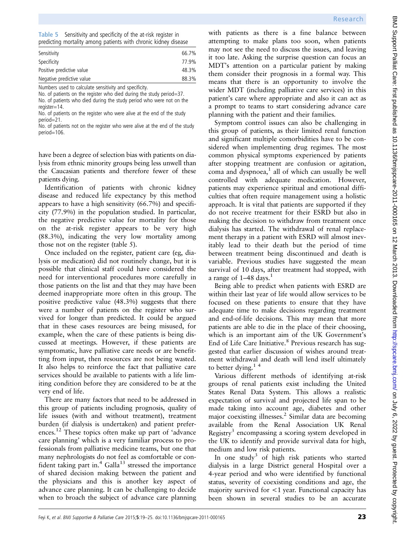Table 5 Sensitivity and specificity of the at-risk register in predicting mortality among patients with chronic kidney disease

| 66.7% |
|-------|
| 77.9% |
| 48.3% |
| 88.3% |
|       |

Numbers used to calculate sensitivity and specificity.

No. of patients on the register who died during the study period=37.

No. of patients who died during the study period who were not on the  $r$ enister $=14$ 

No. of patients on the register who were alive at the end of the study period=21.

No. of patients not on the register who were alive at the end of the study period=106.

have been a degree of selection bias with patients on dialysis from ethnic minority groups being less unwell than the Caucasian patients and therefore fewer of these patients dying.

Identification of patients with chronic kidney disease and reduced life expectancy by this method appears to have a high sensitivity (66.7%) and specificity (77.9%) in the population studied. In particular, the negative predictive value for mortality for those on the at-risk register appears to be very high (88.3%), indicating the very low mortality among those not on the register (table 5).

Once included on the register, patient care (eg, dialysis or medication) did not routinely change, but it is possible that clinical staff could have considered the need for interventional procedures more carefully in those patients on the list and that they may have been deemed inappropriate more often in this group. The positive predictive value (48.3%) suggests that there were a number of patients on the register who survived for longer than predicted. It could be argued that in these cases resources are being misused, for example, when the care of these patients is being discussed at meetings. However, if these patients are symptomatic, have palliative care needs or are benefitting from input, then resources are not being wasted. It also helps to reinforce the fact that palliative care services should be available to patients with a life limiting condition before they are considered to be at the very end of life.

There are many factors that need to be addressed in this group of patients including prognosis, quality of life issues (with and without treatment), treatment burden (if dialysis is undertaken) and patient preferences.<sup>12</sup> These topics often make up part of 'advance care planning' which is a very familiar process to professionals from palliative medicine teams, but one that many nephrologists do not feel as comfortable or confident taking part in.<sup>4</sup> Galla<sup>13</sup> stressed the importance of shared decision making between the patient and the physicians and this is another key aspect of advance care planning. It can be challenging to decide when to broach the subject of advance care planning

with patients as there is a fine balance between attempting to make plans too soon, when patients may not see the need to discuss the issues, and leaving it too late. Asking the surprise question can focus an MDT's attention on a particular patient by making them consider their prognosis in a formal way. This means that there is an opportunity to involve the wider MDT (including palliative care services) in this patient's care where appropriate and also it can act as a prompt to teams to start considering advance care planning with the patient and their families.

Symptom control issues can also be challenging in this group of patients, as their limited renal function and significant multiple comorbidities have to be considered when implementing drug regimes. The most common physical symptoms experienced by patients after stopping treatment are confusion or agitation, coma and dyspnoea, $<sup>1</sup>$  all of which can usually be well</sup> controlled with adequate medication. However, patients may experience spiritual and emotional difficulties that often require management using a holistic approach. It is vital that patients are supported if they do not receive treatment for their ESRD but also in making the decision to withdraw from treatment once dialysis has started. The withdrawal of renal replacement therapy in a patient with ESRD will almost inevitably lead to their death but the period of time between treatment being discontinued and death is variable. Previous studies have suggested the mean survival of 10 days, after treatment had stopped, with a range of  $1-48$  days.<sup>1</sup>

Being able to predict when patients with ESRD are within their last year of life would allow services to be focused on these patients to ensure that they have adequate time to make decisions regarding treatment and end-of-life decisions. This may mean that more patients are able to die in the place of their choosing, which is an important aim of the UK Government's End of Life Care Initiative.<sup>8</sup> Previous research has suggested that earlier discussion of wishes around treatment withdrawal and death will lend itself ultimately to better dying. $14$ 

Various different methods of identifying at-risk groups of renal patients exist including the United States Renal Data System. This allows a realistic expectation of survival and projected life span to be made taking into account age, diabetes and other major coexisting illnesses.<sup>2</sup> Similar data are becoming available from the Renal Association UK Renal Registry<sup>3</sup> encompassing a scoring system developed in the UK to identify and provide survival data for high, medium and low risk patients.

In one study<sup>3</sup> of high risk patients who started dialysis in a large District general Hospital over a 4-year period and who were identified by functional status, severity of coexisting conditions and age, the majority survived for <1 year. Functional capacity has been shown in several studies to be an accurate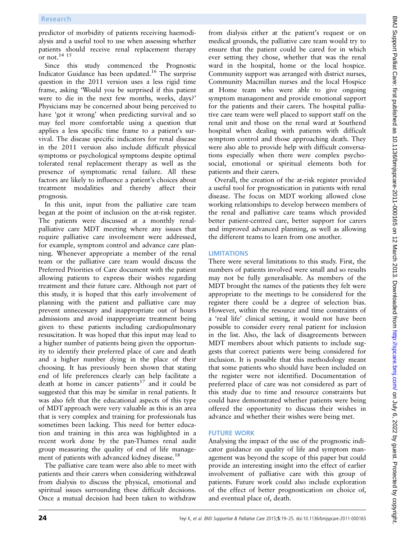predictor of morbidity of patients receiving haemodialysis and a useful tool to use when assessing whether patients should receive renal replacement therapy or not.14 15

Since this study commenced the Prognostic Indicator Guidance has been updated.<sup>16</sup> The surprise question in the 2011 version uses a less rigid time frame, asking 'Would you be surprised if this patient were to die in the next few months, weeks, days?' Physicians may be concerned about being perceived to have 'got it wrong' when predicting survival and so may feel more comfortable using a question that applies a less specific time frame to a patient's survival. The disease specific indicators for renal disease in the 2011 version also include difficult physical symptoms or psychological symptoms despite optimal tolerated renal replacement therapy as well as the presence of symptomatic renal failure. All these factors are likely to influence a patient's choices about treatment modalities and thereby affect their prognosis.

In this unit, input from the palliative care team began at the point of inclusion on the at-risk register. The patients were discussed at a monthly renalpalliative care MDT meeting where any issues that require palliative care involvement were addressed, for example, symptom control and advance care planning. Whenever appropriate a member of the renal team or the palliative care team would discuss the Preferred Priorities of Care document with the patient allowing patients to express their wishes regarding treatment and their future care. Although not part of this study, it is hoped that this early involvement of planning with the patient and palliative care may prevent unnecessary and inappropriate out of hours admissions and avoid inappropriate treatment being given to these patients including cardiopulmonary resuscitation. It was hoped that this input may lead to a higher number of patients being given the opportunity to identify their preferred place of care and death and a higher number dying in the place of their choosing. It has previously been shown that stating end of life preferences clearly can help facilitate a death at home in cancer patients<sup>17</sup> and it could be suggested that this may be similar in renal patients. It was also felt that the educational aspects of this type of MDT approach were very valuable as this is an area that is very complex and training for professionals has sometimes been lacking. This need for better education and training in this area was highlighted in a recent work done by the pan-Thames renal audit group measuring the quality of end of life management of patients with advanced kidney disease.<sup>18</sup>

The palliative care team were also able to meet with patients and their carers when considering withdrawal from dialysis to discuss the physical, emotional and spiritual issues surrounding these difficult decisions. Once a mutual decision had been taken to withdraw

from dialysis either at the patient's request or on medical grounds, the palliative care team would try to ensure that the patient could be cared for in which ever setting they chose, whether that was the renal ward in the hospital, home or the local hospice. Community support was arranged with district nurses, Community Macmillan nurses and the local Hospice at Home team who were able to give ongoing symptom management and provide emotional support for the patients and their carers. The hospital palliative care team were well placed to support staff on the renal unit and those on the renal ward at Southend hospital when dealing with patients with difficult symptom control and those approaching death. They were also able to provide help with difficult conversations especially when there were complex psychosocial, emotional or spiritual elements both for patients and their carers.

Overall, the creation of the at-risk register provided a useful tool for prognostication in patients with renal disease. The focus on MDT working allowed close working relationships to develop between members of the renal and palliative care teams which provided better patient-centred care, better support for carers and improved advanced planning, as well as allowing the different teams to learn from one another.

## **LIMITATIONS**

There were several limitations to this study. First, the numbers of patients involved were small and so results may not be fully generalisable. As members of the MDT brought the names of the patients they felt were appropriate to the meetings to be considered for the register there could be a degree of selection bias. However, within the resource and time constraints of a 'real life' clinical setting, it would not have been possible to consider every renal patient for inclusion in the list. Also, the lack of disagreements between MDT members about which patients to include suggests that correct patients were being considered for inclusion. It is possible that this methodology meant that some patients who should have been included on the register were not identified. Documentation of preferred place of care was not considered as part of this study due to time and resource constraints but could have demonstrated whether patients were being offered the opportunity to discuss their wishes in advance and whether their wishes were being met.

#### FUTURE WORK

Analysing the impact of the use of the prognostic indicator guidance on quality of life and symptom management was beyond the scope of this paper but could provide an interesting insight into the effect of earlier involvement of palliative care with this group of patients. Future work could also include exploration of the effect of better prognostication on choice of, and eventual place of, death.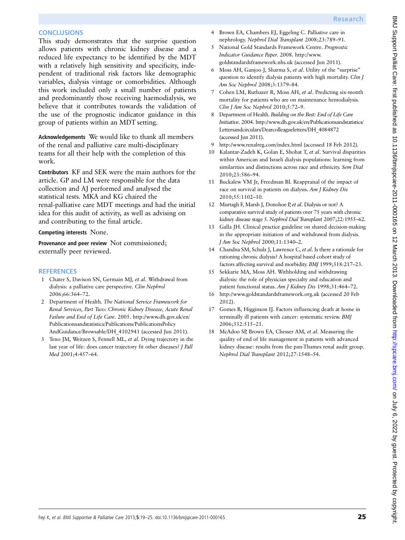## **CONCLUSIONS**

This study demonstrates that the surprise question allows patients with chronic kidney disease and a reduced life expectancy to be identified by the MDT with a relatively high sensitivity and specificity, independent of traditional risk factors like demographic variables, dialysis vintage or comorbidities. Although this work included only a small number of patients and predominantly those receiving haemodialysis, we believe that it contributes towards the validation of the use of the prognostic indicator guidance in this group of patients within an MDT setting.

Acknowledgements We would like to thank all members of the renal and palliative care multi-disciplinary teams for all their help with the completion of this work.

Contributors KF and SEK were the main authors for the article. GP and LM were responsible for the data collection and AJ performed and analysed the statistical tests. MKA and KG chaired the renal-palliative care MDT meetings and had the initial idea for this audit of activity, as well as advising on and contributing to the final article.

#### Competing interests None.

Provenance and peer review Not commissioned; externally peer reviewed.

#### **REFERENCES**

- 1 Chater S, Davison SN, Germain MJ, et al. Withdrawal from dialysis: a palliative care perspective. Clin Nephrol 2006;66:364–72.
- 2 Department of Health. The National Service Framework for Renal Services, Part Two: Chronic Kidney Disease, Acute Renal Failure and End of Life Care. 2005. [http://www.dh.gov.uk/en/](http://www.dh.gov.uk/en/Publicationsandstatistics/Publications/PublicationsPolicyAndGuidance/Browsable/DH_4102941) [Publicationsandstatistics/Publications/PublicationsPolicy](http://www.dh.gov.uk/en/Publicationsandstatistics/Publications/PublicationsPolicyAndGuidance/Browsable/DH_4102941) [AndGuidance/Browsable/DH\\_4102941](http://www.dh.gov.uk/en/Publicationsandstatistics/Publications/PublicationsPolicyAndGuidance/Browsable/DH_4102941) (accessed Jun 2011).
- 3 Teno JM, Weitzen S, Fennell ML, et al. Dying trajectory in the last year of life: does cancer trajectory fit other diseases? J Pall Med 2001;4:457–64.
- 4 Brown EA, Chambers EJ, Eggeling C. Palliative care in nephrology. Nephrol Dial Transplant 2008;23:789–91.
- 5 National Gold Standards Framework Centre. Prognostic Indicator Guidance Paper. 2008. [http://www.](http://www.goldstandardsframework.nhs.uk) [goldstandardsframework.nhs.uk](http://www.goldstandardsframework.nhs.uk) (accessed Jun 2011).
- 6 Moss AH, Ganjoo J, Sharma S, et al. Utility of the "surprise" question to identify dialysis patients with high mortality. Clin J Am Soc Nephrol 2008;3:1379–84.
- 7 Cohen LM, Ruthazer R, Moss AH, et al. Predicting six-month mortality for patients who are on maintenance hemodialysis. Clin J Am Soc Nephrol 2010;5:72–9.
- 8 Department of Health. Building on the Best: End of Life Care Initiative. 2004. [http://www.dh.gov.uk/en/Publicationsandstatistics/](http://www.dh.gov.uk/en/Publicationsandstatistics/Lettersandcirculars/Dearcolleagueletters/DH_4084872) [Lettersandcirculars/Dearcolleagueletters/DH\\_4084872](http://www.dh.gov.uk/en/Publicationsandstatistics/Lettersandcirculars/Dearcolleagueletters/DH_4084872) (accessed Jun 2011).
- 9<http://www.renalreg.com/index.html> (accessed 18 Feb 2012).
- 10 Kalantar-Zadeh K, Golan E, Shohat T, et al. Survival disparities within American and Israeli dialysis populations: learning from similarities and distinctions across race and ethnicity. Sem Dial 2010;23:586–94.
- 11 Buckalew VM Jr, Freedman BI. Reappraisal of the impact of race on survival in patients on dialysis. Am J Kidney Dis 2010;55:1102–10.
- 12 Murtagh F, Marsh J, Donohoe P, et al. Dialysis or not? A comparative survival study of patients over 75 years with chronic kidney disease stage 5. Nephrol Dial Transplant 2007;22:1955–62.
- 13 Galla JH. Clinical practice guideline on shared decision-making in the appropriate initiation of and withdrawal from dialysis. J Am Soc Nephrol 2000;11:1340–2.
- 14 Chandna SM, Schulz J, Lawrence C, et al. Is there a rationale for rationing chronic dialysis? A hospital based cohort study of factors affecting survival and morbidity. BMJ 1999;318:217–23.
- 15 Sekkarie MA, Moss AH. Withholding and withdrawing dialysis: the role of physician specialty and education and patient functional status. Am J Kidney Dis 1998;31:464-72.
- 16 <http://www.goldstandardsframework.org.uk> (accessed 20 Feb 2012).
- 17 Gomes B, Higginson IJ. Factors influencing death at home in terminally ill patients with cancer: systematic review. BMJ 2006;332:515–21.
- 18 McAdoo SP, Brown EA, Chesser AM, et al. Measuring the quality of end of life management in patients with advanced kidney disease: results from the pan-Thames renal audit group. Nephrol Dial Transplant 2012;27:1548–54.